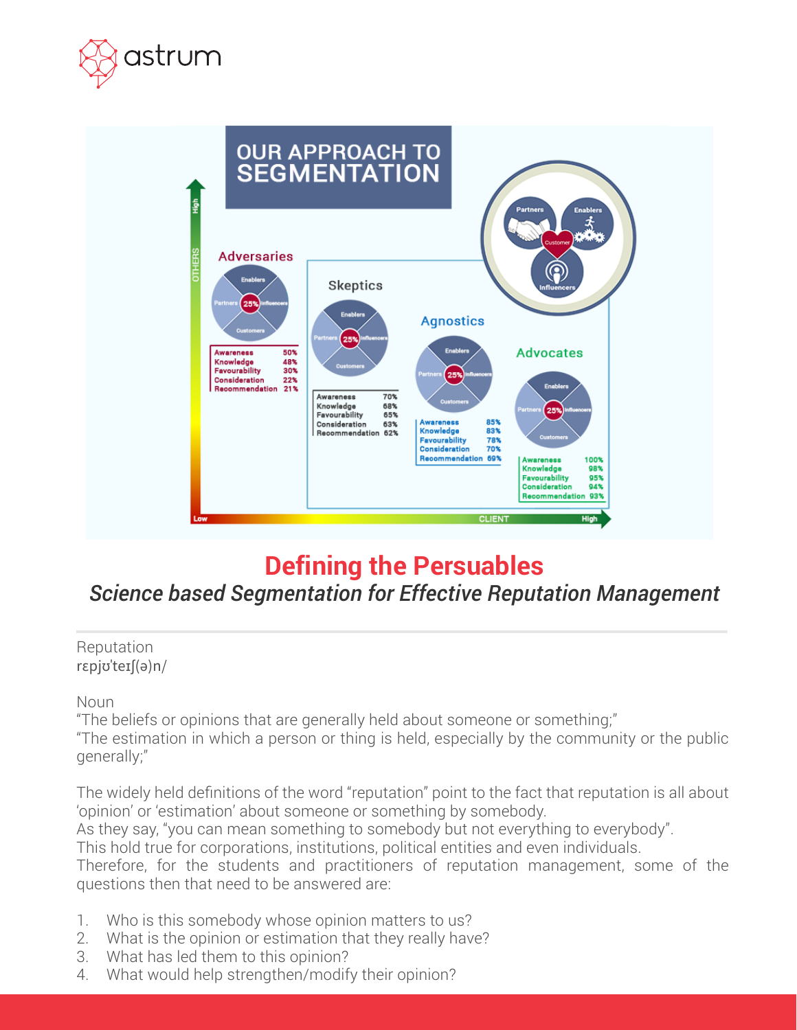



# **Defining the Persuables**

## *Science based Segmentation for Effective Reputation Management*

#### Reputation rspjʊˈteɪ[(ə)n/

Noun

"The beliefs or opinions that are generally held about someone or something;"

"The estimation in which a person or thing is held, especially by the community or the public generally;"

The widely held definitions of the word "reputation" point to the fact that reputation is all about 'opinion' or 'estimation' about someone or something by somebody.

As they say, "you can mean something to somebody but not everything to everybody".

This hold true for corporations, institutions, political entities and even individuals.

Therefore, for the students and practitioners of reputation management, some of the questions then that need to be answered are:

- 1. Who is this somebody whose opinion matters to us?
- 2. What is the opinion or estimation that they really have?
- 3. What has led them to this opinion?
- 4. What would help strengthen/modify their opinion?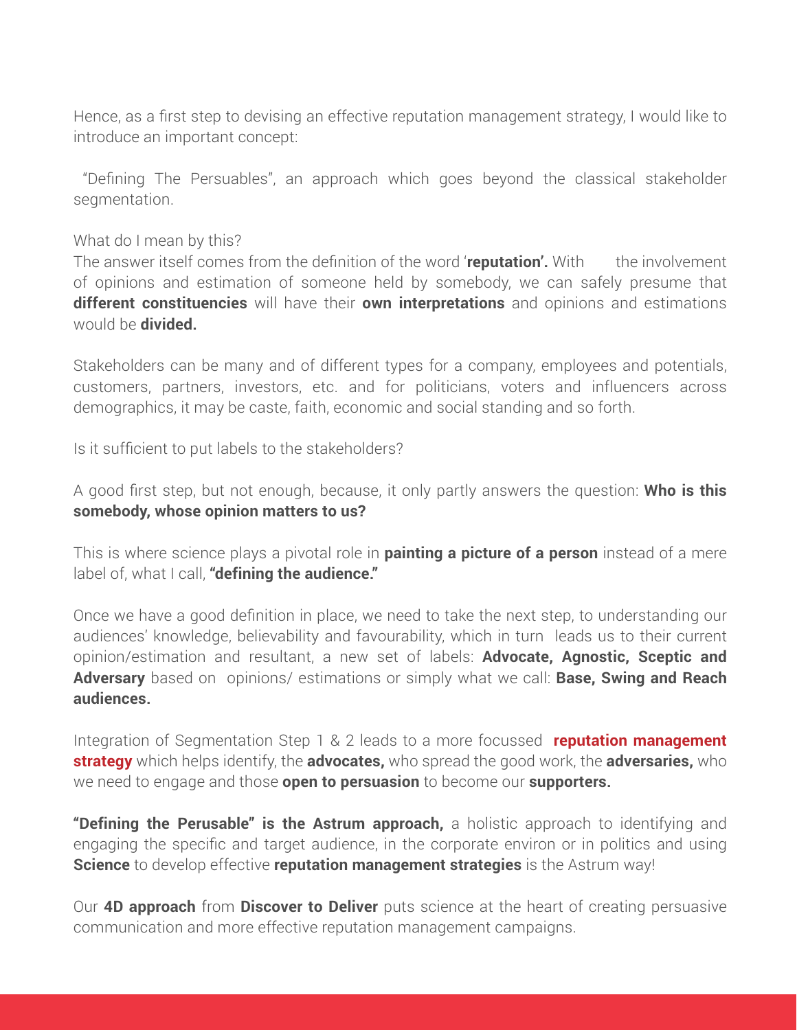Hence, as a first step to devising an effective reputation management strategy, I would like to introduce an important concept:

 "Defining The Persuables", an approach which goes beyond the classical stakeholder segmentation.

#### What do I mean by this?

The answer itself comes from the definition of the word '**reputation'.** With the involvement of opinions and estimation of someone held by somebody, we can safely presume that **different constituencies** will have their **own interpretations** and opinions and estimations would be **divided.** 

Stakeholders can be many and of different types for a company, employees and potentials, customers, partners, investors, etc. and for politicians, voters and influencers across demographics, it may be caste, faith, economic and social standing and so forth.

Is it sufficient to put labels to the stakeholders?

A good first step, but not enough, because, it only partly answers the question: **Who is this somebody, whose opinion matters to us?** 

This is where science plays a pivotal role in **painting a picture of a person** instead of a mere label of, what I call, **"defining the audience."**

Once we have a good definition in place, we need to take the next step, to understanding our audiences' knowledge, believability and favourability, which in turn leads us to their current opinion/estimation and resultant, a new set of labels: **Advocate, Agnostic, Sceptic and Adversary** based on opinions/ estimations or simply what we call: **Base, Swing and Reach audiences.**

Integration of Segmentation Step 1 & 2 leads to a more focussed **reputation management strategy** which helps identify, the **advocates,** who spread the good work, the **adversaries,** who we need to engage and those **open to persuasion** to become our **supporters.** 

**"Defining the Perusable" is the Astrum approach,** a holistic approach to identifying and engaging the specific and target audience, in the corporate environ or in politics and using **Science** to develop effective **reputation management strategies** is the Astrum way!

Our **4D approach** from **Discover to Deliver** puts science at the heart of creating persuasive communication and more effective reputation management campaigns.